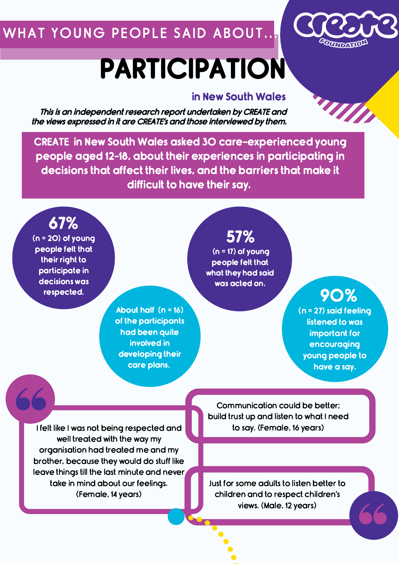# WHAT YOUNG PEOPLE SAID ABOUT.

# PARTICIPATION

#### in New South Wales

This is an independent research report undertaken by CREATE and the views expressed in it are CREATE's and those interviewed by them.

CREATE in New South Wales asked 30 care-experienced young people aged 12-18, about their experiences in participating in decisions that affect their lives, and the barriers that make it difficult to have their say.

## 67%

(n = 20) of young people felt that their right to participate in decisions was respected.

66

About half (n = 16) of the participants had been quite involved in developing their care plans.

### 57%

(n = 17) of young people felt that what they had said was acted on.

# 90%

**PANDATIC** 

Wilh

(n = 27) said feeling listened to was important for encouraging young people to have a say.

I felt like I was not being respected and well treated with the way my organisation had treated me and my brother, because they would do stuff like leave things till the last minute and never take in mind about our feelings. (Female, 14 years)

Communication could be better; build trust up and listen to what I need to say. (Female, 16 years)

Just for some adults to listen better to children and to respect children's views. (Male, 12 years)